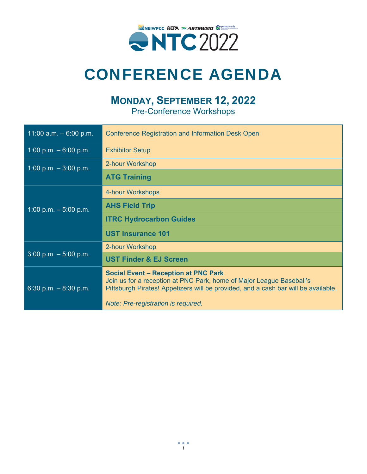

#### **MONDAY, SEPTEMBER 12, 2022**

Pre-Conference Workshops

| 11:00 $a.m. - 6:00 p.m.$ | <b>Conference Registration and Information Desk Open</b>                                                                                                                                                                                         |  |  |
|--------------------------|--------------------------------------------------------------------------------------------------------------------------------------------------------------------------------------------------------------------------------------------------|--|--|
| 1:00 p.m. $-6:00$ p.m.   | <b>Exhibitor Setup</b>                                                                                                                                                                                                                           |  |  |
| $1:00$ p.m. $-3:00$ p.m. | 2-hour Workshop                                                                                                                                                                                                                                  |  |  |
|                          | <b>ATG Training</b>                                                                                                                                                                                                                              |  |  |
| 1:00 p.m. $-5:00$ p.m.   | 4-hour Workshops                                                                                                                                                                                                                                 |  |  |
|                          | <b>AHS Field Trip</b>                                                                                                                                                                                                                            |  |  |
|                          | <b>ITRC Hydrocarbon Guides</b>                                                                                                                                                                                                                   |  |  |
|                          | <b>UST Insurance 101</b>                                                                                                                                                                                                                         |  |  |
|                          | 2-hour Workshop                                                                                                                                                                                                                                  |  |  |
| $3:00$ p.m. $-5:00$ p.m. | <b>UST Finder &amp; EJ Screen</b>                                                                                                                                                                                                                |  |  |
| 6:30 p.m. $-8:30$ p.m.   | <b>Social Event - Reception at PNC Park</b><br>Join us for a reception at PNC Park, home of Major League Baseball's<br>Pittsburgh Pirates! Appetizers will be provided, and a cash bar will be available.<br>Note: Pre-registration is required. |  |  |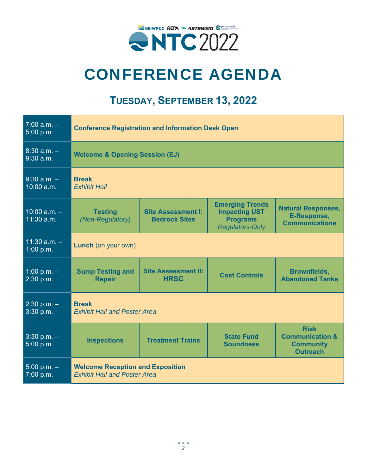

#### **TUESDAY, SEPTEMBER 13, 2022**

| $7:00$ a.m. $-$<br>5:00 p.m.   | <b>Conference Registration and Information Desk Open</b>                       |                                                   |                                                                                             |                                                                                  |  |
|--------------------------------|--------------------------------------------------------------------------------|---------------------------------------------------|---------------------------------------------------------------------------------------------|----------------------------------------------------------------------------------|--|
| $8:30$ a.m. $-$<br>$9:30$ a.m. | <b>Welcome &amp; Opening Session (EJ)</b>                                      |                                                   |                                                                                             |                                                                                  |  |
| $9:30$ a.m. $-$<br>10:00 a.m.  | <b>Break</b><br><b>Exhibit Hall</b>                                            |                                                   |                                                                                             |                                                                                  |  |
| $10:00$ a.m. $-$<br>11:30 a.m. | <b>Testing</b><br>(Non-Regulatory)                                             | <b>Site Assessment I:</b><br><b>Bedrock Sites</b> | <b>Emerging Trends</b><br><b>Impacting UST</b><br><b>Programs</b><br><b>Regulators-Only</b> | <b>Natural Responses,</b><br>E-Response,<br><b>Communications</b>                |  |
| $11:30$ a.m. $-$<br>1:00 p.m.  | <b>Lunch</b> (on your own)                                                     |                                                   |                                                                                             |                                                                                  |  |
| 1:00 p.m. $-$<br>2:30 p.m.     | <b>Sump Testing and</b><br><b>Repair</b>                                       | <b>Site Assessment II:</b><br><b>HRSC</b>         | <b>Cost Controls</b>                                                                        | <b>Brownfields,</b><br><b>Abandoned Tanks</b>                                    |  |
| $2:30$ p.m. $-$<br>3:30 p.m.   | <b>Break</b><br><b>Exhibit Hall and Poster Area</b>                            |                                                   |                                                                                             |                                                                                  |  |
| $3:30$ p.m. $-$<br>5:00 p.m.   | <b>Inspections</b>                                                             | <b>Treatment Trains</b>                           | <b>State Fund</b><br><b>Soundness</b>                                                       | <b>Risk</b><br><b>Communication &amp;</b><br><b>Community</b><br><b>Outreach</b> |  |
| $5:00 p.m. -$<br>7:00 p.m.     | <b>Welcome Reception and Exposition</b><br><b>Exhibit Hall and Poster Area</b> |                                                   |                                                                                             |                                                                                  |  |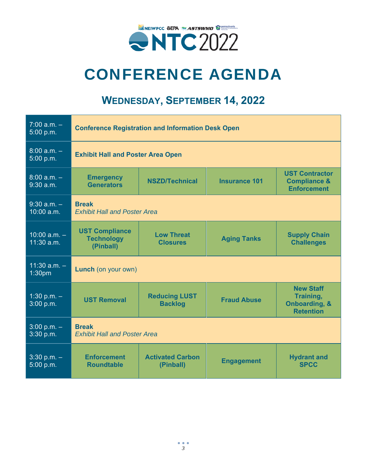

#### **WEDNESDAY, SEPTEMBER 14, 2022**

| $7:00 a.m. -$<br>5:00 p.m.       | <b>Conference Registration and Information Desk Open</b> |                                        |                      |                                                                               |  |
|----------------------------------|----------------------------------------------------------|----------------------------------------|----------------------|-------------------------------------------------------------------------------|--|
| $8:00 a.m. -$<br>5:00 p.m.       | <b>Exhibit Hall and Poster Area Open</b>                 |                                        |                      |                                                                               |  |
| $8:00 a.m. -$<br>$9:30$ a.m.     | <b>Emergency</b><br><b>Generators</b>                    | <b>NSZD/Technical</b>                  | <b>Insurance 101</b> | <b>UST Contractor</b><br><b>Compliance &amp;</b><br><b>Enforcement</b>        |  |
| $9:30$ a.m. $-$<br>$10:00$ a.m.  | <b>Break</b><br><b>Exhibit Hall and Poster Area</b>      |                                        |                      |                                                                               |  |
| $10:00$ a.m. $-$<br>$11:30$ a.m. | <b>UST Compliance</b><br><b>Technology</b><br>(Pinball)  | <b>Low Threat</b><br><b>Closures</b>   | <b>Aging Tanks</b>   | <b>Supply Chain</b><br><b>Challenges</b>                                      |  |
| $11:30$ a.m. $-$<br>1:30pm       | <b>Lunch</b> (on your own)                               |                                        |                      |                                                                               |  |
| 1:30 p.m. $-$<br>3:00 p.m.       | <b>UST Removal</b>                                       | <b>Reducing LUST</b><br><b>Backlog</b> | <b>Fraud Abuse</b>   | <b>New Staff</b><br>Training,<br><b>Onboarding, &amp;</b><br><b>Retention</b> |  |
| $3:00 p.m. -$<br>3:30 p.m.       | <b>Break</b><br><b>Exhibit Hall and Poster Area</b>      |                                        |                      |                                                                               |  |
| $3:30$ p.m. $-$<br>5:00 p.m.     | <b>Enforcement</b><br><b>Roundtable</b>                  | <b>Activated Carbon</b><br>(Pinball)   | <b>Engagement</b>    | <b>Hydrant and</b><br><b>SPCC</b>                                             |  |